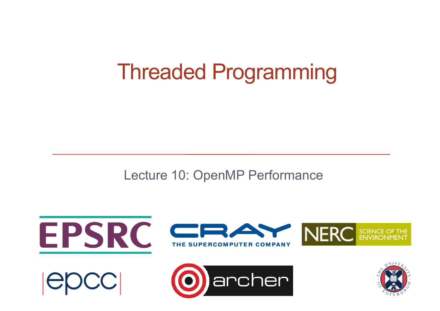#### Threaded Programming

Lecture 10: OpenMP Performance

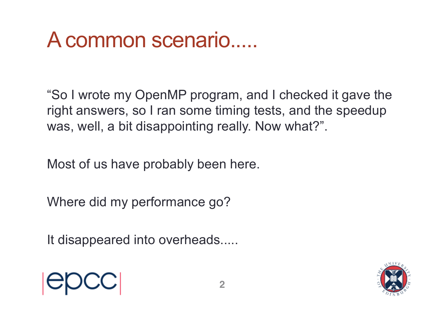#### A common scenario.....

"So I wrote my OpenMP program, and I checked it gave the right answers, so I ran some timing tests, and the speedup was, well, a bit disappointing really. Now what?".

Most of us have probably been here.

Where did my performance go?

It disappeared into overheads.....



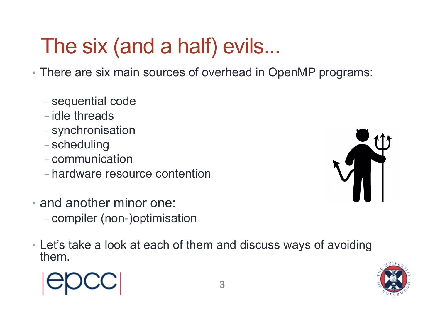#### The six (and a half) evils...

• There are six main sources of overhead in OpenMP programs:

- sequential code
- idle threads
- synchronisation
- scheduling
- communication
- hardware resource contention
- and another minor one: - compiler (non-)optimisation
- Let's take a look at each of them and discuss ways of avoiding them.





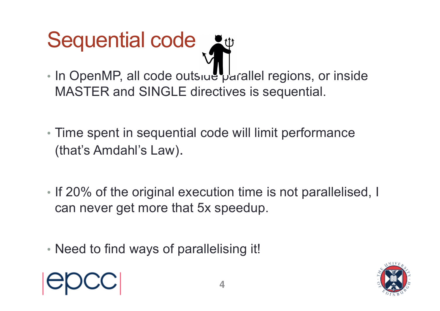#### Sequential code

- In OpenMP, all code outsiue parallel regions, or inside MASTER and SINGLE directives is sequential.
- Time spent in sequential code will limit performance (that's Amdahl's Law).
- If 20% of the original execution time is not parallelised, I can never get more that 5x speedup.
- Need to find ways of parallelising it!



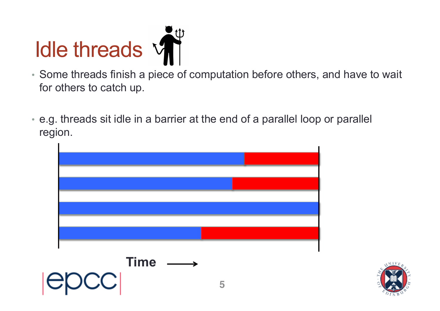

- Some threads finish a piece of computation before others, and have to wait for others to catch up.
- e.g. threads sit idle in a barrier at the end of a parallel loop or parallel region.



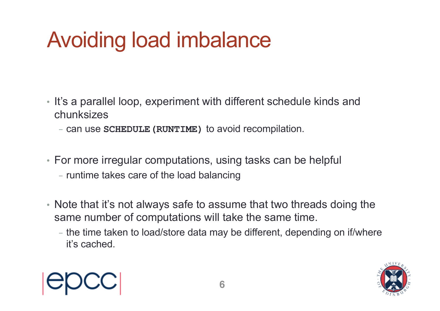#### Avoiding load imbalance

- It's a parallel loop, experiment with different schedule kinds and chunksizes
	- can use **SCHEDULE(RUNTIME)** to avoid recompilation.
- For more irregular computations, using tasks can be helpful
	- runtime takes care of the load balancing
- Note that it's not always safe to assume that two threads doing the same number of computations will take the same time.
	- the time taken to load/store data may be different, depending on if/where it's cached.



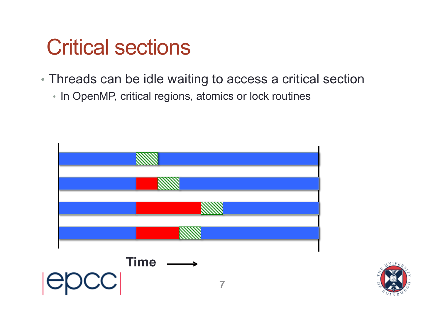#### Critical sections

- Threads can be idle waiting to access a critical section
	- In OpenMP, critical regions, atomics or lock routines



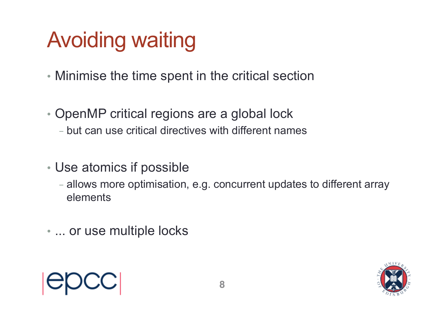#### Avoiding waiting

- Minimise the time spent in the critical section
- OpenMP critical regions are a global lock - but can use critical directives with different names
- Use atomics if possible
	- allows more optimisation, e.g. concurrent updates to different array elements
- ... or use multiple locks

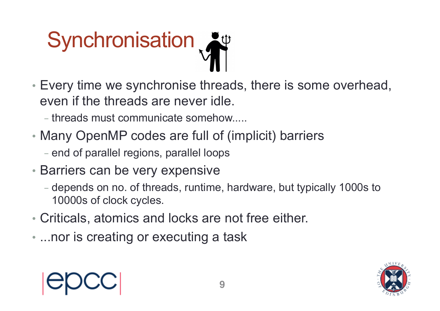# **Synchronisation**

- Every time we synchronise threads, there is some overhead, even if the threads are never idle.
	- threads must communicate somehow.....
- Many OpenMP codes are full of (implicit) barriers
	- end of parallel regions, parallel loops
- Barriers can be very expensive
	- depends on no. of threads, runtime, hardware, but typically 1000s to 10000s of clock cycles.
- Criticals, atomics and locks are not free either.
- ...nor is creating or executing a task

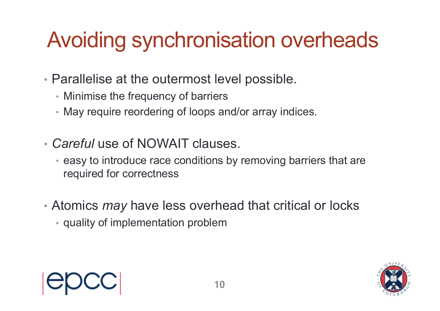#### Avoiding synchronisation overheads

- Parallelise at the outermost level possible.
	- Minimise the frequency of barriers
	- May require reordering of loops and/or array indices.
- *Careful* use of NOWAIT clauses.
	- easy to introduce race conditions by removing barriers that are required for correctness
- Atomics *may* have less overhead that critical or locks
	- quality of implementation problem



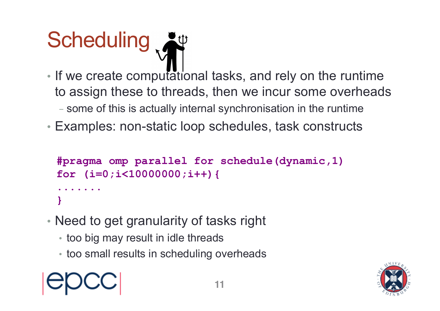

- If we create computational tasks, and rely on the runtime to assign these to threads, then we incur some overheads
	- some of this is actually internal synchronisation in the runtime
- Examples: non-static loop schedules, task constructs

```
#pragma omp parallel for schedule(dynamic,1) 
for (i=0;i<10000000;i++){
.......
}
```
- Need to get granularity of tasks right
	- too big may result in idle threads
	- too small results in scheduling overheads

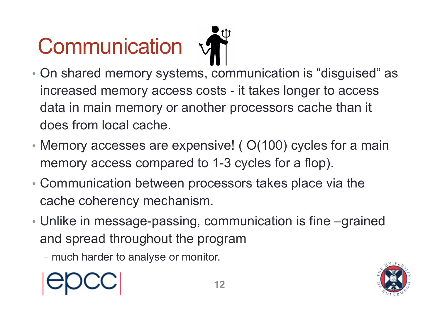### **Communication**

- On shared memory systems, communication is "disguised" as increased memory access costs - it takes longer to access data in main memory or another processors cache than it does from local cache.
- Memory accesses are expensive! (O(100) cycles for a main memory access compared to 1-3 cycles for a flop).
- Communication between processors takes place via the cache coherency mechanism.
- Unlike in message-passing, communication is fine –grained and spread throughout the program
	- much harder to analyse or monitor.



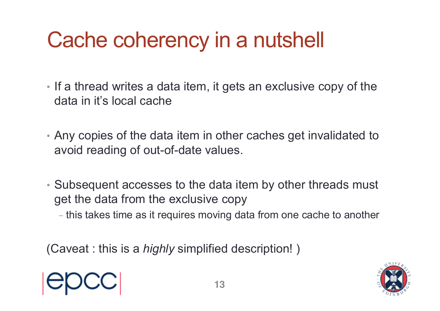#### Cache coherency in a nutshell

- If a thread writes a data item, it gets an exclusive copy of the data in it's local cache
- Any copies of the data item in other caches get invalidated to avoid reading of out-of-date values.
- Subsequent accesses to the data item by other threads must get the data from the exclusive copy
	- this takes time as it requires moving data from one cache to another

(Caveat : this is a *highly* simplified description! )



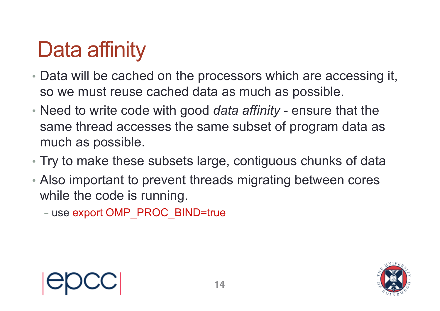#### Data affinity

- Data will be cached on the processors which are accessing it, so we must reuse cached data as much as possible.
- Need to write code with good *data affinity* ensure that the same thread accesses the same subset of program data as much as possible.
- Try to make these subsets large, contiguous chunks of data
- Also important to prevent threads migrating between cores while the code is running.

- use export OMP\_PROC\_BIND=true

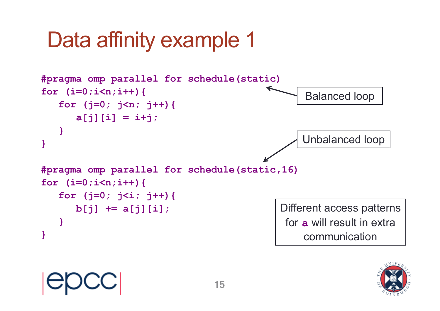#### Data affinity example 1



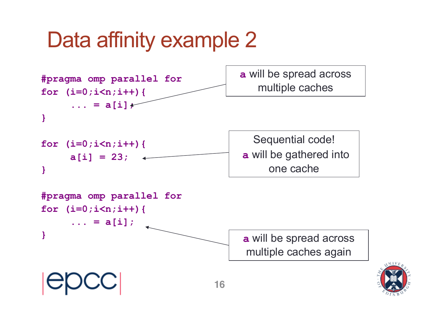#### Data affinity example 2

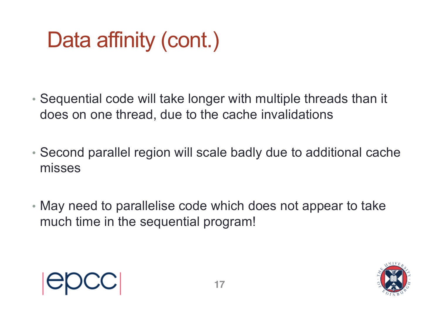#### Data affinity (cont.)

- Sequential code will take longer with multiple threads than it does on one thread, due to the cache invalidations
- Second parallel region will scale badly due to additional cache misses
- May need to parallelise code which does not appear to take much time in the sequential program!



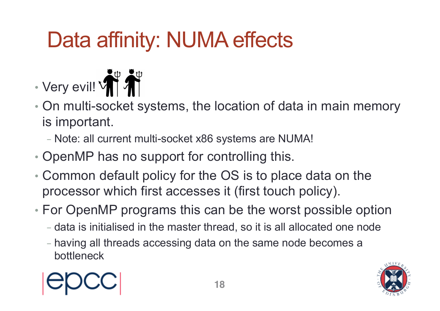#### Data affinity: NUMA effects



- On multi-socket systems, the location of data in main memory is important.
	- Note: all current multi-socket x86 systems are NUMA!
- OpenMP has no support for controlling this.
- Common default policy for the OS is to place data on the processor which first accesses it (first touch policy).
- For OpenMP programs this can be the worst possible option
	- data is initialised in the master thread, so it is all allocated one node
	- having all threads accessing data on the same node becomes a bottleneck

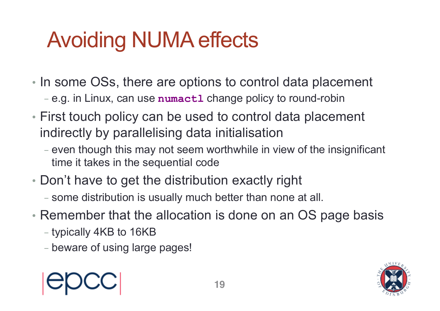#### Avoiding NUMA effects

- In some OSs, there are options to control data placement - e.g. in Linux, can use **numactl** change policy to round-robin
- First touch policy can be used to control data placement indirectly by parallelising data initialisation
	- even though this may not seem worthwhile in view of the insignificant time it takes in the sequential code
- Don't have to get the distribution exactly right
	- some distribution is usually much better than none at all.
- Remember that the allocation is done on an OS page basis
	- typically 4KB to 16KB
	- beware of using large pages!



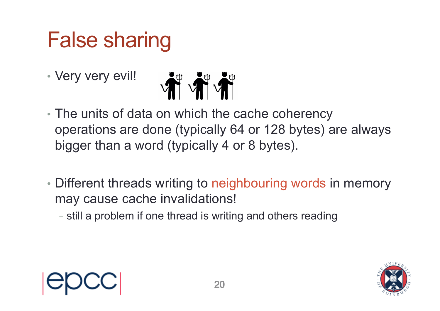#### False sharing

• Very very evil!



- The units of data on which the cache coherency operations are done (typically 64 or 128 bytes) are always bigger than a word (typically 4 or 8 bytes).
- Different threads writing to neighbouring words in memory may cause cache invalidations!
	- still a problem if one thread is writing and others reading

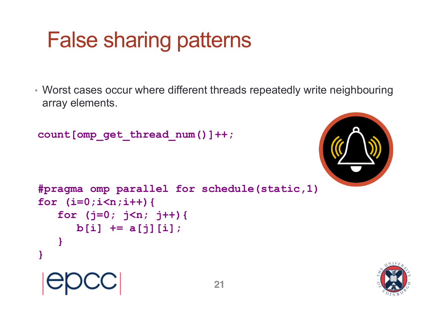#### False sharing patterns

• Worst cases occur where different threads repeatedly write neighbouring array elements.

```
count[omp_get_thread_num()]++;
```


```
#pragma omp parallel for schedule(static,1) 
for (i=0;i<n;i++){
   for (j=0; j<n; j++){ 
      b[i] += a[j][i];
   }
}
```
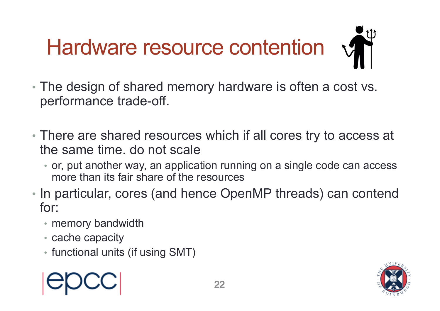

- The design of shared memory hardware is often a cost vs. performance trade-off.
- There are shared resources which if all cores try to access at the same time. do not scale
	- or, put another way, an application running on a single code can access more than its fair share of the resources
- In particular, cores (and hence OpenMP threads) can contend for:
	- memory bandwidth
	- cache capacity
	- functional units (if using SMT)



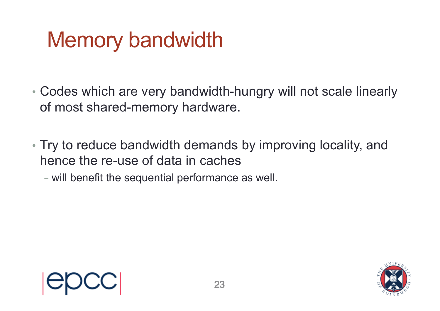#### Memory bandwidth

- Codes which are very bandwidth-hungry will not scale linearly of most shared-memory hardware.
- Try to reduce bandwidth demands by improving locality, and hence the re-use of data in caches
	- will benefit the sequential performance as well.



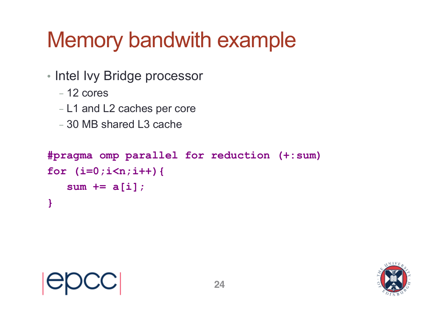#### Memory bandwith example

- Intel Ivy Bridge processor
	- 12 cores
	- L1 and L2 caches per core
	- 30 MB shared L3 cache

```
#pragma omp parallel for reduction (+:sum)
for (i=0;i<n;i++){
   sum += a[i];
}
```
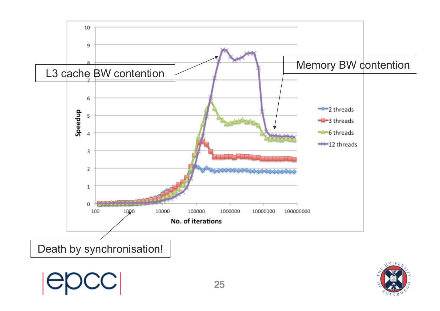

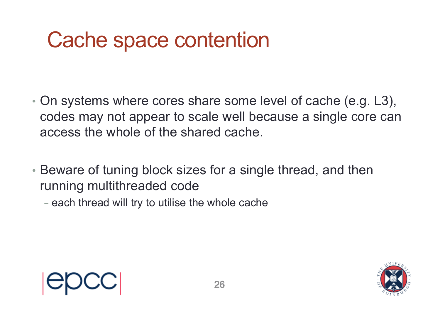#### Cache space contention

- On systems where cores share some level of cache (e.g. L3), codes may not appear to scale well because a single core can access the whole of the shared cache.
- Beware of tuning block sizes for a single thread, and then running multithreaded code
	- each thread will try to utilise the whole cache

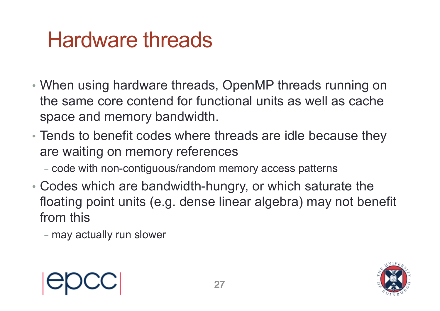#### Hardware threads

- When using hardware threads, OpenMP threads running on the same core contend for functional units as well as cache space and memory bandwidth.
- Tends to benefit codes where threads are idle because they are waiting on memory references
	- code with non-contiguous/random memory access patterns
- Codes which are bandwidth-hungry, or which saturate the floating point units (e.g. dense linear algebra) may not benefit from this

- may actually run slower



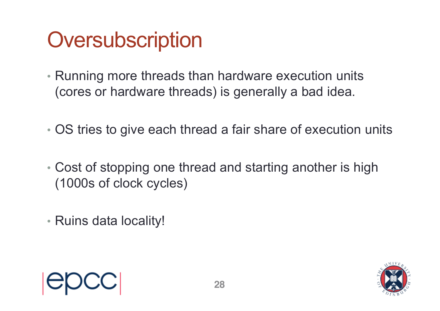#### **Oversubscription**

- Running more threads than hardware execution units (cores or hardware threads) is generally a bad idea.
- OS tries to give each thread a fair share of execution units
- Cost of stopping one thread and starting another is high (1000s of clock cycles)
- Ruins data locality!

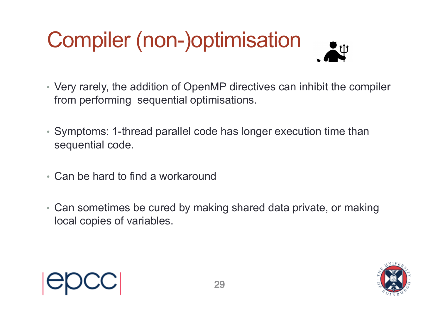## Compiler (non-)optimisation

- Very rarely, the addition of OpenMP directives can inhibit the compiler from performing sequential optimisations.
- Symptoms: 1-thread parallel code has longer execution time than sequential code.
- Can be hard to find a workaround
- Can sometimes be cured by making shared data private, or making local copies of variables.

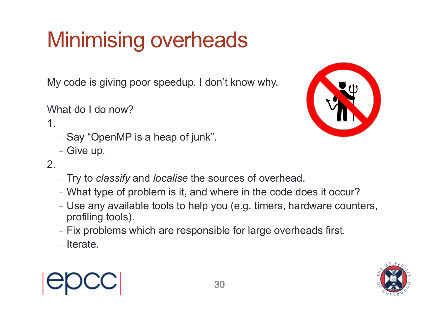#### Minimising overheads

My code is giving poor speedup. I don't know why.

What do I do now?

#### 1.

- Say "OpenMP is a heap of junk".
- Give up.



- Try to *classify* and *localise* the sources of overhead.
- What type of problem is it, and where in the code does it occur?
- Use any available tools to help you (e.g. timers, hardware counters, profiling tools).
- Fix problems which are responsible for large overheads first.
- Iterate.





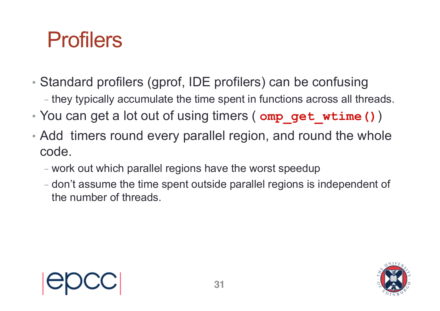#### Profilers

- Standard profilers (gprof, IDE profilers) can be confusing
	- they typically accumulate the time spent in functions across all threads.
- You can get a lot out of using timers (  $omp$  get wtime ())
- Add timers round every parallel region, and round the whole code.
	- work out which parallel regions have the worst speedup
	- don't assume the time spent outside parallel regions is independent of the number of threads.



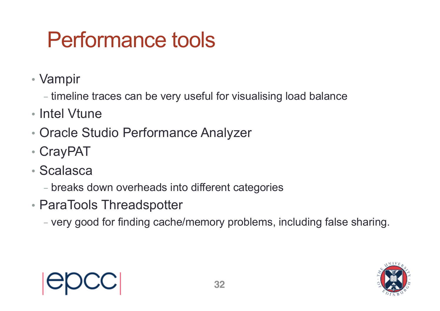#### Performance tools

- Vampir
	- timeline traces can be very useful for visualising load balance
- Intel Vtune
- Oracle Studio Performance Analyzer
- CrayPAT
- Scalasca
	- breaks down overheads into different categories
- ParaTools Threadspotter
	- very good for finding cache/memory problems, including false sharing.